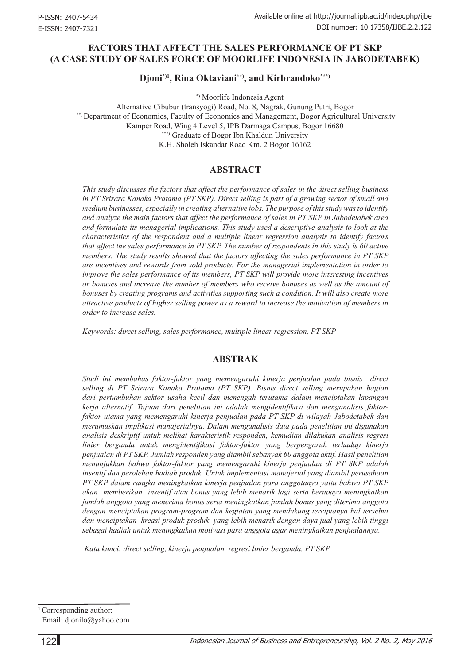## **Factors that Affect the Sales Performance of PT SKP (A Case Study of Sales Force of Moorlife Indonesia in Jabodetabek)**

**Djoni\*)1, Rina Oktaviani\*\*), and Kirbrandoko\*\*\*)**

\*) Moorlife Indonesia Agent

Alternative Cibubur (transyogi) Road, No. 8, Nagrak, Gunung Putri, Bogor \*\*) Department of Economics, Faculty of Economics and Management, Bogor Agricultural University Kamper Road, Wing 4 Level 5, IPB Darmaga Campus, Bogor 16680 \*\*\*) Graduate of Bogor Ibn Khaldun University K.H. Sholeh Iskandar Road Km. 2 Bogor 16162

### **ABSTRACT**

*This study discusses the factors that affect the performance of sales in the direct selling business in PT Srirara Kanaka Pratama (PT SKP). Direct selling is part of a growing sector of small and medium businesses, especially in creating alternative jobs. The purpose of this study was to identify and analyze the main factors that affect the performance of sales in PT SKP in Jabodetabek area and formulate its managerial implications. This study used a descriptive analysis to look at the characteristics of the respondent and a multiple linear regression analysis to identify factors that affect the sales performance in PT SKP. The number of respondents in this study is 60 active members. The study results showed that the factors affecting the sales performance in PT SKP are incentives and rewards from sold products. For the managerial implementation in order to improve the sales performance of its members, PT SKP will provide more interesting incentives or bonuses and increase the number of members who receive bonuses as well as the amount of bonuses by creating programs and activities supporting such a condition. It will also create more attractive products of higher selling power as a reward to increase the motivation of members in order to increase sales.*

*Keywords: direct selling, sales performance, multiple linear regression, PT SKP* 

### **ABSTRAK**

*Studi ini membahas faktor-faktor yang memengaruhi kinerja penjualan pada bisnis direct selling di PT Srirara Kanaka Pratama (PT SKP). Bisnis direct selling merupakan bagian dari pertumbuhan sektor usaha kecil dan menengah terutama dalam menciptakan lapangan kerja alternatif. Tujuan dari penelitian ini adalah mengidentifikasi dan menganalisis faktorfaktor utama yang memengaruhi kinerja penjualan pada PT SKP di wilayah Jabodetabek dan merumuskan implikasi manajerialnya. Dalam menganalisis data pada penelitian ini digunakan analisis deskriptif untuk melihat karakteristik responden, kemudian dilakukan analisis regresi linier berganda untuk mengidentifikasi faktor-faktor yang berpengaruh terhadap kinerja penjualan di PT SKP. Jumlah responden yang diambil sebanyak 60 anggota aktif. Hasil penelitian menunjukkan bahwa faktor-faktor yang memengaruhi kinerja penjualan di PT SKP adalah insentif dan perolehan hadiah produk. Untuk implementasi manajerial yang diambil perusahaan PT SKP dalam rangka meningkatkan kinerja penjualan para anggotanya yaitu bahwa PT SKP akan memberikan insentif atau bonus yang lebih menarik lagi serta berupaya meningkatkan jumlah anggota yang menerima bonus serta meningkatkan jumlah bonus yang diterima anggota dengan menciptakan program-program dan kegiatan yang mendukung terciptanya hal tersebut dan menciptakan kreasi produk-produk yang lebih menarik dengan daya jual yang lebih tinggi sebagai hadiah untuk meningkatkan motivasi para anggota agar meningkatkan penjualannya.* 

 *Kata kunci: direct selling, kinerja penjualan, regresi linier berganda, PT SKP*

**<sup>1</sup>**Corresponding author: Email: djonilo@yahoo.com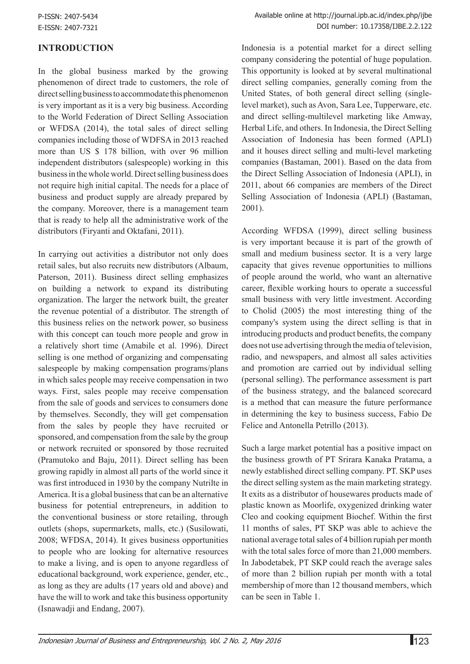# **INTRODUCTION**

In the global business marked by the growing phenomenon of direct trade to customers, the role of direct selling business to accommodate this phenomenon is very important as it is a very big business. According to the World Federation of Direct Selling Association or WFDSA (2014), the total sales of direct selling companies including those of WDFSA in 2013 reached more than US \$ 178 billion, with over 96 million independent distributors (salespeople) working in this business in the whole world. Direct selling business does not require high initial capital. The needs for a place of business and product supply are already prepared by the company. Moreover, there is a management team that is ready to help all the administrative work of the distributors (Firyanti and Oktafani, 2011).

In carrying out activities a distributor not only does retail sales, but also recruits new distributors (Albaum, Paterson, 2011). Business direct selling emphasizes on building a network to expand its distributing organization. The larger the network built, the greater the revenue potential of a distributor. The strength of this business relies on the network power, so business with this concept can touch more people and grow in a relatively short time (Amabile et al. 1996). Direct selling is one method of organizing and compensating salespeople by making compensation programs/plans in which sales people may receive compensation in two ways. First, sales people may receive compensation from the sale of goods and services to consumers done by themselves. Secondly, they will get compensation from the sales by people they have recruited or sponsored, and compensation from the sale by the group or network recruited or sponsored by those recruited (Pramutoko and Baju, 2011). Direct selling has been growing rapidly in almost all parts of the world since it was first introduced in 1930 by the company Nutrilte in America. It is a global business that can be an alternative business for potential entrepreneurs, in addition to the conventional business or store retailing, through outlets (shops, supermarkets, malls, etc.) (Susilowati, 2008; WFDSA, 2014). It gives business opportunities to people who are looking for alternative resources to make a living, and is open to anyone regardless of educational background, work experience, gender, etc., as long as they are adults (17 years old and above) and have the will to work and take this business opportunity (Isnawadji and Endang, 2007).

Indonesia is a potential market for a direct selling company considering the potential of huge population. This opportunity is looked at by several multinational direct selling companies, generally coming from the United States, of both general direct selling (singlelevel market), such as Avon, Sara Lee, Tupperware, etc. and direct selling-multilevel marketing like Amway, Herbal Life, and others. In Indonesia, the Direct Selling Association of Indonesia has been formed (APLI) and it houses direct selling and multi-level marketing companies (Bastaman, 2001). Based on the data from the Direct Selling Association of Indonesia (APLI), in 2011, about 66 companies are members of the Direct Selling Association of Indonesia (APLI) (Bastaman, 2001).

According WFDSA (1999), direct selling business is very important because it is part of the growth of small and medium business sector. It is a very large capacity that gives revenue opportunities to millions of people around the world, who want an alternative career, flexible working hours to operate a successful small business with very little investment. According to Cholid (2005) the most interesting thing of the company's system using the direct selling is that in introducing products and product benefits, the company does not use advertising through the media of television, radio, and newspapers, and almost all sales activities and promotion are carried out by individual selling (personal selling). The performance assessment is part of the business strategy, and the balanced scorecard is a method that can measure the future performance in determining the key to business success, Fabio De Felice and Antonella Petrillo (2013).

Such a large market potential has a positive impact on the business growth of PT Srirara Kanaka Pratama, a newly established direct selling company. PT. SKP uses the direct selling system as the main marketing strategy. It exits as a distributor of housewares products made of plastic known as Moorlife, oxygenized drinking water Cleo and cooking equipment Biochef. Within the first 11 months of sales, PT SKP was able to achieve the national average total sales of 4 billion rupiah per month with the total sales force of more than 21,000 members. In Jabodetabek, PT SKP could reach the average sales of more than 2 billion rupiah per month with a total membership of more than 12 thousand members, which can be seen in Table 1.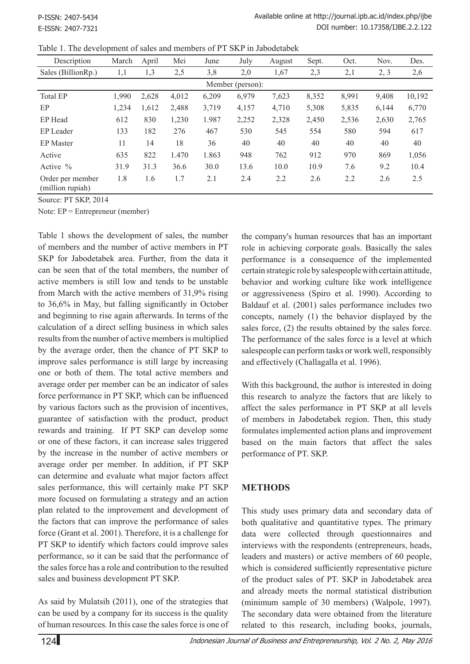|  |  |  |  |  |  |  | Table 1. The development of sales and members of PT SKP in Jabodetabek |
|--|--|--|--|--|--|--|------------------------------------------------------------------------|
|--|--|--|--|--|--|--|------------------------------------------------------------------------|

| Description                          | March | April | Mei   | June  | July  | August | Sept. | Oct.  | Nov.  | Des.   |
|--------------------------------------|-------|-------|-------|-------|-------|--------|-------|-------|-------|--------|
| Sales (BillionRp.)                   | 1,1   | 1,3   | 2,5   | 3,8   | 2,0   | 1,67   | 2,3   | 2,1   | 2, 3  | 2,6    |
| Member (person):                     |       |       |       |       |       |        |       |       |       |        |
| <b>Total EP</b>                      | 1,990 | 2,628 | 4,012 | 6,209 | 6,979 | 7,623  | 8,352 | 8,991 | 9,408 | 10,192 |
| EP                                   | 1,234 | 1,612 | 2,488 | 3,719 | 4,157 | 4,710  | 5,308 | 5,835 | 6,144 | 6,770  |
| EP Head                              | 612   | 830   | 1,230 | 1.987 | 2,252 | 2,328  | 2,450 | 2,536 | 2,630 | 2,765  |
| EP Leader                            | 133   | 182   | 276   | 467   | 530   | 545    | 554   | 580   | 594   | 617    |
| <b>EP</b> Master                     | 11    | 14    | 18    | 36    | 40    | 40     | 40    | 40    | 40    | 40     |
| Active                               | 635   | 822   | 1.470 | 1.863 | 948   | 762    | 912   | 970   | 869   | 1,056  |
| Active $\%$                          | 31.9  | 31.3  | 36.6  | 30.0  | 13.6  | 10.0   | 10.9  | 7.6   | 9.2   | 10.4   |
| Order per member<br>(million rupiah) | 1.8   | 1.6   | 1.7   | 2.1   | 2.4   | 2.2    | 2.6   | 2.2   | 2.6   | 2.5    |

Source: PT SKP, 2014

Note: EP = Entrepreneur (member)

Table 1 shows the development of sales, the number of members and the number of active members in PT SKP for Jabodetabek area. Further, from the data it can be seen that of the total members, the number of active members is still low and tends to be unstable from March with the active members of 31,9% rising to 36,6% in May, but falling significantly in October and beginning to rise again afterwards. In terms of the calculation of a direct selling business in which sales results from the number of active members is multiplied by the average order, then the chance of PT SKP to improve sales performance is still large by increasing one or both of them. The total active members and average order per member can be an indicator of sales force performance in PT SKP, which can be influenced by various factors such as the provision of incentives, guarantee of satisfaction with the product, product rewards and training. If PT SKP can develop some or one of these factors, it can increase sales triggered by the increase in the number of active members or average order per member. In addition, if PT SKP can determine and evaluate what major factors affect sales performance, this will certainly make PT SKP more focused on formulating a strategy and an action plan related to the improvement and development of the factors that can improve the performance of sales force (Grant et al. 2001). Therefore, it is a challenge for PT SKP to identify which factors could improve sales performance, so it can be said that the performance of the sales force has a role and contribution to the resulted sales and business development PT SKP.

As said by Mulatsih (2011), one of the strategies that can be used by a company for its success is the quality of human resources. In this case the sales force is one of the company's human resources that has an important role in achieving corporate goals. Basically the sales performance is a consequence of the implemented certain strategic role by salespeople with certain attitude, behavior and working culture like work intelligence or aggressiveness (Spiro et al. 1990). According to Baldauf et al. (2001) sales performance includes two concepts, namely (1) the behavior displayed by the sales force, (2) the results obtained by the sales force. The performance of the sales force is a level at which salespeople can perform tasks or work well, responsibly and effectively (Challagalla et al. 1996).

With this background, the author is interested in doing this research to analyze the factors that are likely to affect the sales performance in PT SKP at all levels of members in Jabodetabek region. Then, this study formulates implemented action plans and improvement based on the main factors that affect the sales performance of PT. SKP.

# **METHODS**

This study uses primary data and secondary data of both qualitative and quantitative types. The primary data were collected through questionnaires and interviews with the respondents (entrepreneurs, heads, leaders and masters) or active members of 60 people, which is considered sufficiently representative picture of the product sales of PT. SKP in Jabodetabek area and already meets the normal statistical distribution (minimum sample of 30 members) (Walpole, 1997). The secondary data were obtained from the literature related to this research, including books, journals,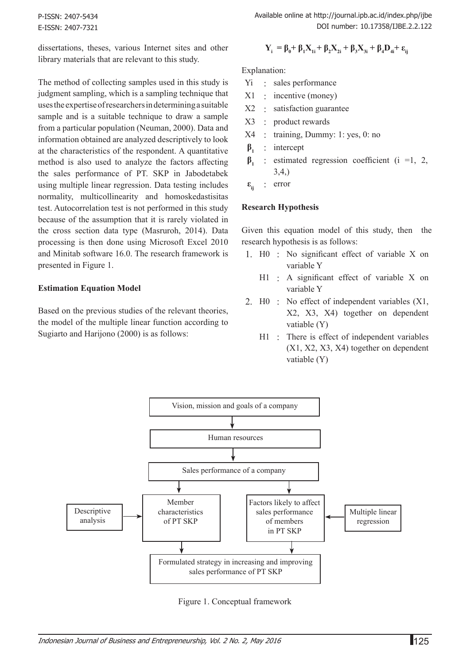P-ISSN: 2407-5434 E-ISSN: 2407-7321 Available online at http://journal.ipb.ac.id/index.php/ijbe DOI number: 10.17358/IJBE.2.2.122

dissertations, theses, various Internet sites and other library materials that are relevant to this study.

The method of collecting samples used in this study is judgment sampling, which is a sampling technique that uses the expertise of researchers in determining a suitable sample and is a suitable technique to draw a sample from a particular population (Neuman, 2000). Data and information obtained are analyzed descriptively to look at the characteristics of the respondent. A quantitative method is also used to analyze the factors affecting the sales performance of PT. SKP in Jabodetabek using multiple linear regression. Data testing includes normality, multicollinearity and homoskedastisitas test. Autocorrelation test is not performed in this study because of the assumption that it is rarely violated in the cross section data type (Masruroh, 2014). Data processing is then done using Microsoft Excel 2010 and Minitab software 16.0. The research framework is presented in Figure 1.

#### **Estimation Equation Model**

Based on the previous studies of the relevant theories, the model of the multiple linear function according to Sugiarto and Harijono (2000) is as follows:

$$
\mathbf{Y}_{i} = \boldsymbol{\beta}_{0} + \boldsymbol{\beta}_{1}\mathbf{X}_{1i} + \boldsymbol{\beta}_{2}\mathbf{X}_{2i} + \boldsymbol{\beta}_{3}\mathbf{X}_{3i} + \boldsymbol{\beta}_{4}\mathbf{D}_{4i} + \boldsymbol{\epsilon}_{ij}
$$

Explanation:

- Yi : sales performance
- X1 : incentive (money)
- X2 : satisfaction guarantee
- X3 : product rewards
- X4 : training, Dummy: 1: yes, 0: no
- **β<sup>1</sup>** : intercept
- **β<sup>1</sup>** : estimated regression coefficient (i =1, 2, 3,4,)
- **εij** : error

#### **Research Hypothesis**

Given this equation model of this study, then the research hypothesis is as follows:

- 1. H0 : No significant effect of variable X on variable Y
	- H1 : A significant effect of variable X on variable Y
- 2. H0 : No effect of independent variables (X1, X2, X3, X4) together on dependent vatiable (Y)
	- H1 : There is effect of independent variables (X1, X2, X3, X4) together on dependent vatiable (Y)



Figure 1. Conceptual framework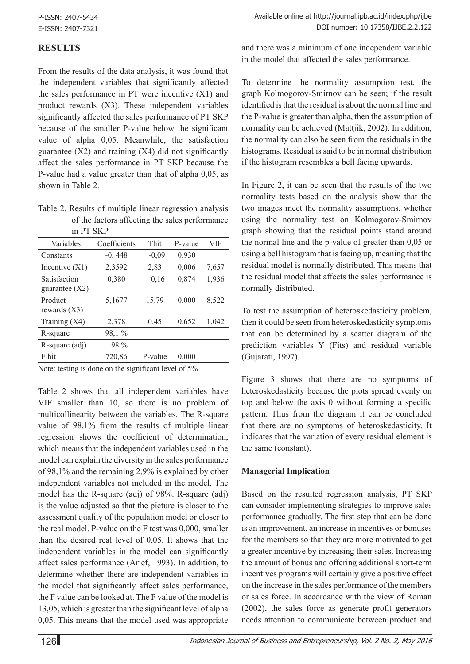## **RESULTS**

From the results of the data analysis, it was found that the independent variables that significantly affected the sales performance in PT were incentive (X1) and product rewards (X3). These independent variables significantly affected the sales performance of PT SKP because of the smaller P-value below the significant value of alpha 0,05. Meanwhile, the satisfaction guarantee  $(X2)$  and training  $(X4)$  did not significantly affect the sales performance in PT SKP because the P-value had a value greater than that of alpha 0,05, as shown in Table 2.

Table 2. Results of multiple linear regression analysis of the factors affecting the sales performance in PT SKP

| .                                |              |         |         |       |
|----------------------------------|--------------|---------|---------|-------|
| Variables                        | Coefficients | Thit    | P-value | VIF   |
| Constants                        | $-0,448$     | $-0,09$ | 0,930   |       |
| Incentive $(X1)$                 | 2,3592       | 2,83    | 0,006   | 7,657 |
| Satisfaction<br>guarantee $(X2)$ | 0,380        | 0,16    | 0,874   | 1,936 |
| Product<br>rewards $(X3)$        | 5,1677       | 15,79   | 0,000   | 8,522 |
| Training $(X4)$                  | 2,378        | 0,45    | 0,652   | 1,042 |
| R-square                         | 98,1%        |         |         |       |
| R-square (adj)                   | 98 %         |         |         |       |
| F hit                            | 720,86       | P-value | 0,000   |       |
| .                                |              |         |         |       |

Note: testing is done on the significant level of 5%

Table 2 shows that all independent variables have VIF smaller than 10, so there is no problem of multicollinearity between the variables. The R-square value of 98,1% from the results of multiple linear regression shows the coefficient of determination, which means that the independent variables used in the model can explain the diversity in the sales performance of 98,1% and the remaining 2,9% is explained by other independent variables not included in the model. The model has the R-square (adj) of 98%. R-square (adj) is the value adjusted so that the picture is closer to the assessment quality of the population model or closer to the real model. P-value on the F test was 0,000, smaller than the desired real level of 0,05. It shows that the independent variables in the model can significantly affect sales performance (Arief, 1993). In addition, to determine whether there are independent variables in the model that significantly affect sales performance, the F value can be looked at. The F value of the model is 13,05, which is greater than the significant level of alpha 0,05. This means that the model used was appropriate

and there was a minimum of one independent variable in the model that affected the sales performance.

To determine the normality assumption test, the graph Kolmogorov-Smirnov can be seen; if the result identified is that the residual is about the normal line and the P-value is greater than alpha, then the assumption of normality can be achieved (Mattjik, 2002). In addition, the normality can also be seen from the residuals in the histograms. Residual is said to be in normal distribution if the histogram resembles a bell facing upwards.

In Figure 2, it can be seen that the results of the two normality tests based on the analysis show that the two images meet the normality assumptions, whether using the normality test on Kolmogorov-Smirnov graph showing that the residual points stand around the normal line and the p-value of greater than 0,05 or using a bell histogram that is facing up, meaning that the residual model is normally distributed. This means that the residual model that affects the sales performance is normally distributed.

To test the assumption of heteroskedasticity problem, then it could be seen from heteroskedasticity symptoms that can be determined by a scatter diagram of the prediction variables Y (Fits) and residual variable (Gujarati, 1997).

Figure 3 shows that there are no symptoms of heteroskedasticity because the plots spread evenly on top and below the axis 0 without forming a specific pattern. Thus from the diagram it can be concluded that there are no symptoms of heteroskedasticity. It indicates that the variation of every residual element is the same (constant).

## **Managerial Implication**

Based on the resulted regression analysis, PT SKP can consider implementing strategies to improve sales performance gradually. The first step that can be done is an improvement, an increase in incentives or bonuses for the members so that they are more motivated to get a greater incentive by increasing their sales. Increasing the amount of bonus and offering additional short-term incentives programs will certainly give a positive effect on the increase in the sales performance of the members or sales force. In accordance with the view of Roman (2002), the sales force as generate profit generators needs attention to communicate between product and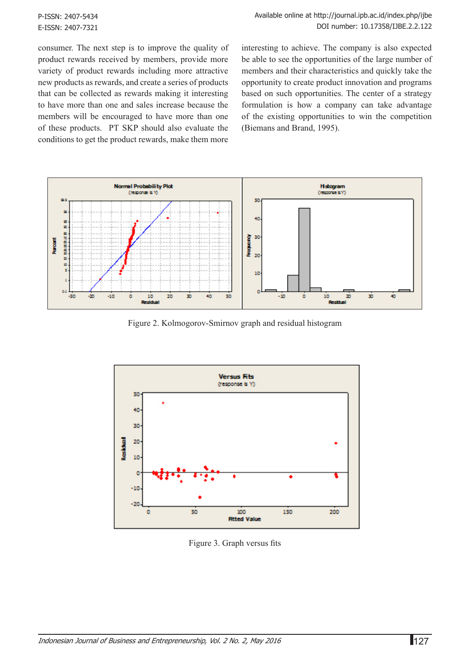consumer. The next step is to improve the quality of product rewards received by members, provide more variety of product rewards including more attractive new products as rewards, and create a series of products that can be collected as rewards making it interesting to have more than one and sales increase because the members will be encouraged to have more than one of these products. PT SKP should also evaluate the conditions to get the product rewards, make them more

interesting to achieve. The company is also expected be able to see the opportunities of the large number of members and their characteristics and quickly take the opportunity to create product innovation and programs based on such opportunities. The center of a strategy formulation is how a company can take advantage of the existing opportunities to win the competition (Biemans and Brand, 1995).



Figure 2. Kolmogorov-Smirnov graph and residual histogram



Figure 3. Graph versus fits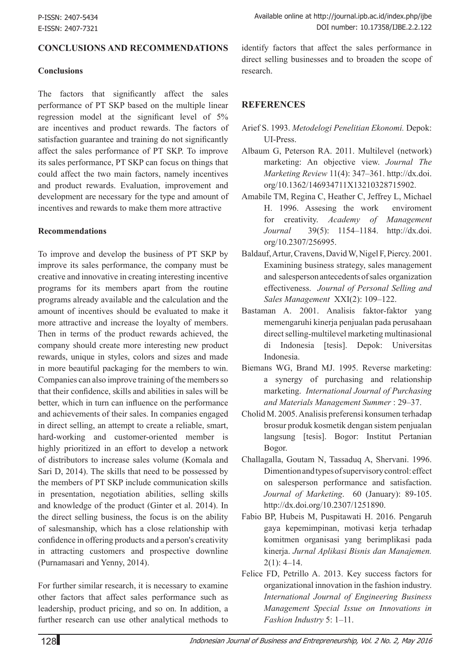### **Conclusions and Recommendations**

#### **Conclusions**

The factors that significantly affect the sales performance of PT SKP based on the multiple linear regression model at the significant level of 5% are incentives and product rewards. The factors of satisfaction guarantee and training do not significantly affect the sales performance of PT SKP. To improve its sales performance, PT SKP can focus on things that could affect the two main factors, namely incentives and product rewards. Evaluation, improvement and development are necessary for the type and amount of incentives and rewards to make them more attractive

#### **Recommendations**

To improve and develop the business of PT SKP by improve its sales performance, the company must be creative and innovative in creating interesting incentive programs for its members apart from the routine programs already available and the calculation and the amount of incentives should be evaluated to make it more attractive and increase the loyalty of members. Then in terms of the product rewards achieved, the company should create more interesting new product rewards, unique in styles, colors and sizes and made in more beautiful packaging for the members to win. Companies can also improve training of the members so that their confidence, skills and abilities in sales will be better, which in turn can influence on the performance and achievements of their sales. In companies engaged in direct selling, an attempt to create a reliable, smart, hard-working and customer-oriented member is highly prioritized in an effort to develop a network of distributors to increase sales volume (Komala and Sari D, 2014). The skills that need to be possessed by the members of PT SKP include communication skills in presentation, negotiation abilities, selling skills and knowledge of the product (Ginter et al. 2014). In the direct selling business, the focus is on the ability of salesmanship, which has a close relationship with confidence in offering products and a person's creativity in attracting customers and prospective downline (Purnamasari and Yenny, 2014).

For further similar research, it is necessary to examine other factors that affect sales performance such as leadership, product pricing, and so on. In addition, a further research can use other analytical methods to

identify factors that affect the sales performance in direct selling businesses and to broaden the scope of research.

#### **REFERENCES**

- Arief S. 1993. *Metodelogi Penelitian Ekonomi.* Depok: UI-Press.
- Albaum G, Peterson RA. 2011. Multilevel (network) marketing: An objective view. *Journal The Marketing Review* 11(4): 347–361. http://dx.doi. org/10.1362/146934711X13210328715902.
- Amabile TM, Regina C, Heather C, Jeffrey L, Michael H. 1996. Assesing the work enviroment for creativity. *Academy of Management Journal* 39(5): 1154–1184. http://dx.doi. org/10.2307/256995.
- Baldauf, Artur, Cravens, David W, Nigel F, Piercy. 2001. Examining business strategy, sales management and salesperson antecedents of sales organization effectiveness. *Journal of Personal Selling and Sales Management* XXI(2): 109–122.
- Bastaman A. 2001. Analisis faktor-faktor yang memengaruhi kinerja penjualan pada perusahaan direct selling-multilevel marketing multinasional di Indonesia [tesis]. Depok: Universitas Indonesia.
- Biemans WG, Brand MJ. 1995. Reverse marketing: a synergy of purchasing and relationship marketing. *International Journal of Purchasing and Materials Management Summer* : 29–37.
- Cholid M. 2005. Analisis preferensi konsumen terhadap brosur produk kosmetik dengan sistem penjualan langsung [tesis]. Bogor: Institut Pertanian Bogor.
- Challagalla, Goutam N, Tassaduq A, Shervani. 1996. Dimention and types of supervisory control: effect on salesperson performance and satisfaction. *Journal of Marketing*. 60 (January): 89-105. http://dx.doi.org/10.2307/1251890.
- Fabio BP, Hubeis M, Puspitawati H. 2016. Pengaruh gaya kepemimpinan, motivasi kerja terhadap komitmen organisasi yang berimplikasi pada kinerja. *Jurnal Aplikasi Bisnis dan Manajemen.*   $2(1)$ : 4–14.
- Felice FD, Petrillo A. 2013. Key success factors for organizational innovation in the fashion industry. *International Journal of Engineering Business Management Special Issue on Innovations in Fashion Industry* 5: 1–11.